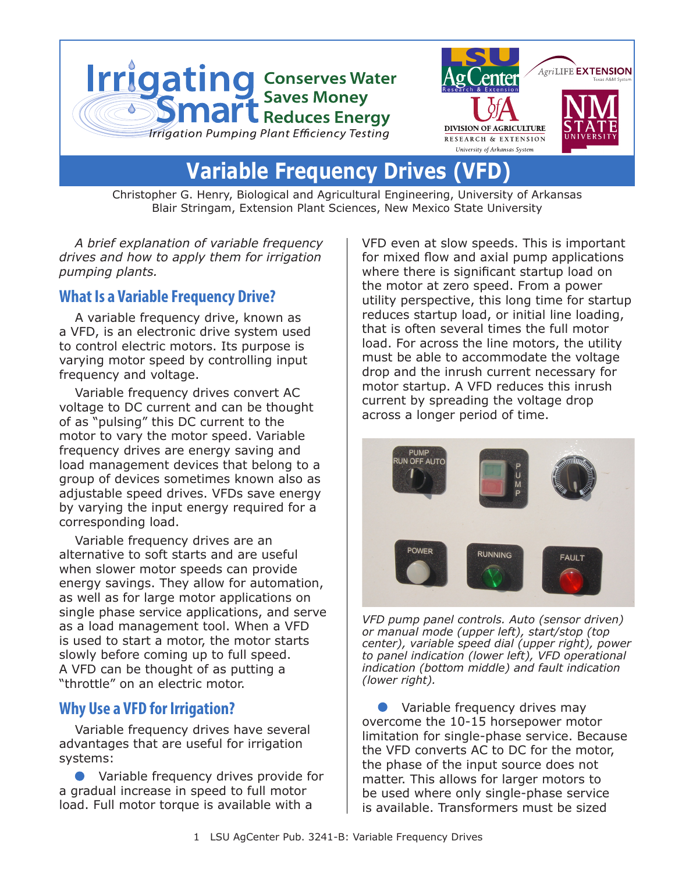

# **Variable Frequency Drives**

Christopher G. Henry, Biological and Agricultural Engineering, University of Arkansas Blair Stringam, Extension Plant Sciences, New Mexico State University

*A brief explanation of variable frequency drives and how to apply them for irrigation pumping plants.*

#### **What Is a Variable Frequency Drive?**

A variable frequency drive, known as a VFD, is an electronic drive system used to control electric motors. Its purpose is varying motor speed by controlling input frequency and voltage.

Variable frequency drives convert AC voltage to DC current and can be thought of as "pulsing" this DC current to the motor to vary the motor speed. Variable frequency drives are energy saving and load management devices that belong to a group of devices sometimes known also as adjustable speed drives. VFDs save energy by varying the input energy required for a corresponding load.

Variable frequency drives are an alternative to soft starts and are useful when slower motor speeds can provide energy savings. They allow for automation, as well as for large motor applications on single phase service applications, and serve as a load management tool. When a VFD is used to start a motor, the motor starts slowly before coming up to full speed. A VFD can be thought of as putting a "throttle" on an electric motor.

#### **Why Use a VFD for Irrigation?**

Variable frequency drives have several advantages that are useful for irrigation systems:

Variable frequency drives provide for a gradual increase in speed to full motor load. Full motor torque is available with a

VFD even at slow speeds. This is important for mixed flow and axial pump applications where there is significant startup load on the motor at zero speed. From a power utility perspective, this long time for startup reduces startup load, or initial line loading, that is often several times the full motor load. For across the line motors, the utility must be able to accommodate the voltage drop and the inrush current necessary for motor startup. A VFD reduces this inrush current by spreading the voltage drop across a longer period of time.



*VFD pump panel controls. Auto (sensor driven) or manual mode (upper left), start/stop (top center), variable speed dial (upper right), power to panel indication (lower left), VFD operational indication (bottom middle) and fault indication (lower right).*

Variable frequency drives may overcome the 10-15 horsepower motor limitation for single-phase service. Because the VFD converts AC to DC for the motor, the phase of the input source does not matter. This allows for larger motors to be used where only single-phase service is available. Transformers must be sized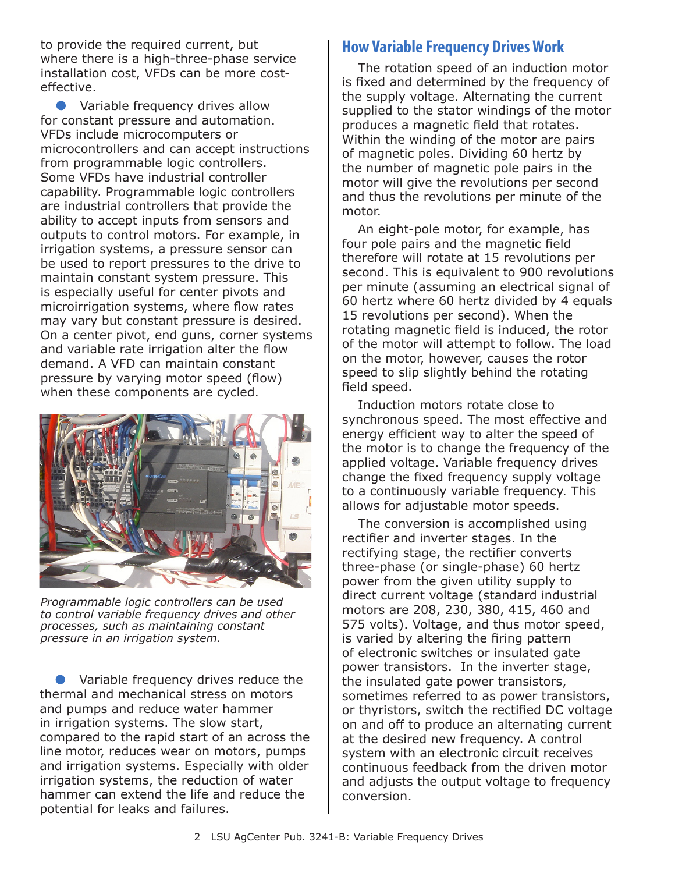to provide the required current, but where there is a high-three-phase service installation cost, VFDs can be more costeffective.

**•** Variable frequency drives allow for constant pressure and automation. VFDs include microcomputers or microcontrollers and can accept instructions from programmable logic controllers. Some VFDs have industrial controller capability. Programmable logic controllers are industrial controllers that provide the ability to accept inputs from sensors and outputs to control motors. For example, in irrigation systems, a pressure sensor can be used to report pressures to the drive to maintain constant system pressure. This is especially useful for center pivots and microirrigation systems, where flow rates may vary but constant pressure is desired. On a center pivot, end guns, corner systems and variable rate irrigation alter the flow demand. A VFD can maintain constant pressure by varying motor speed (flow) when these components are cycled.



*Programmable logic controllers can be used to control variable frequency drives and other processes, such as maintaining constant pressure in an irrigation system.*

Variable frequency drives reduce the thermal and mechanical stress on motors and pumps and reduce water hammer in irrigation systems. The slow start, compared to the rapid start of an across the line motor, reduces wear on motors, pumps and irrigation systems. Especially with older irrigation systems, the reduction of water hammer can extend the life and reduce the potential for leaks and failures.

#### **How Variable Frequency Drives Work**

The rotation speed of an induction motor is fixed and determined by the frequency of the supply voltage. Alternating the current supplied to the stator windings of the motor produces a magnetic field that rotates. Within the winding of the motor are pairs of magnetic poles. Dividing 60 hertz by the number of magnetic pole pairs in the motor will give the revolutions per second and thus the revolutions per minute of the motor.

An eight-pole motor, for example, has four pole pairs and the magnetic field therefore will rotate at 15 revolutions per second. This is equivalent to 900 revolutions per minute (assuming an electrical signal of 60 hertz where 60 hertz divided by 4 equals 15 revolutions per second). When the rotating magnetic field is induced, the rotor of the motor will attempt to follow. The load on the motor, however, causes the rotor speed to slip slightly behind the rotating field speed.

Induction motors rotate close to synchronous speed. The most effective and energy efficient way to alter the speed of the motor is to change the frequency of the applied voltage. Variable frequency drives change the fixed frequency supply voltage to a continuously variable frequency. This allows for adjustable motor speeds.

The conversion is accomplished using rectifier and inverter stages. In the rectifying stage, the rectifier converts three-phase (or single-phase) 60 hertz power from the given utility supply to direct current voltage (standard industrial motors are 208, 230, 380, 415, 460 and 575 volts). Voltage, and thus motor speed, is varied by altering the firing pattern of electronic switches or insulated gate power transistors. In the inverter stage, the insulated gate power transistors, sometimes referred to as power transistors, or thyristors, switch the rectified DC voltage on and off to produce an alternating current at the desired new frequency. A control system with an electronic circuit receives continuous feedback from the driven motor and adjusts the output voltage to frequency conversion.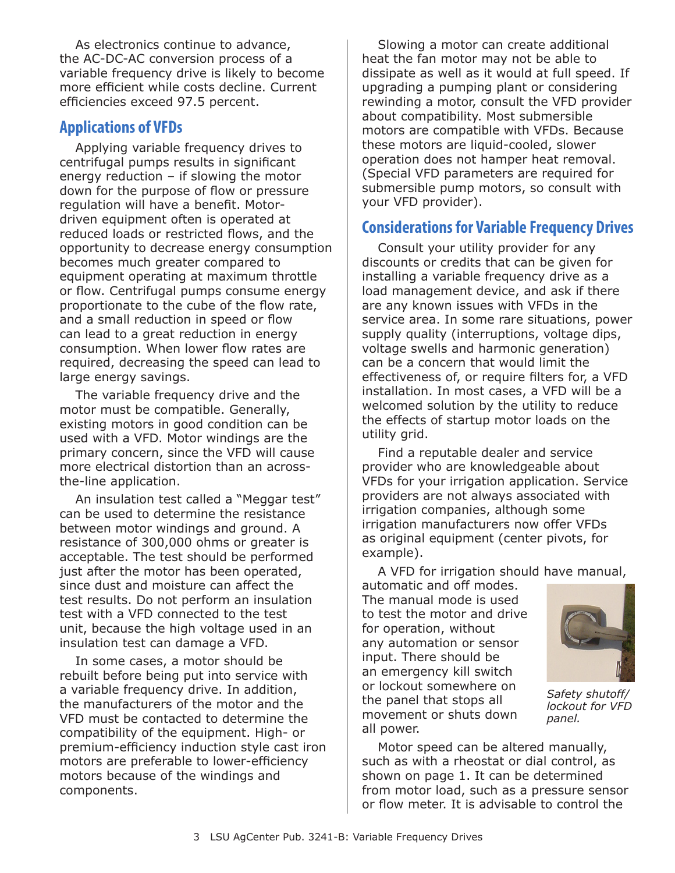As electronics continue to advance, the AC-DC-AC conversion process of a variable frequency drive is likely to become more efficient while costs decline. Current efficiencies exceed 97.5 percent.

#### **Applications of VFDs**

Applying variable frequency drives to centrifugal pumps results in significant energy reduction – if slowing the motor down for the purpose of flow or pressure regulation will have a benefit. Motordriven equipment often is operated at reduced loads or restricted flows, and the opportunity to decrease energy consumption becomes much greater compared to equipment operating at maximum throttle or flow. Centrifugal pumps consume energy proportionate to the cube of the flow rate, and a small reduction in speed or flow can lead to a great reduction in energy consumption. When lower flow rates are required, decreasing the speed can lead to large energy savings.

The variable frequency drive and the motor must be compatible. Generally, existing motors in good condition can be used with a VFD. Motor windings are the primary concern, since the VFD will cause more electrical distortion than an acrossthe-line application.

An insulation test called a "Meggar test" can be used to determine the resistance between motor windings and ground. A resistance of 300,000 ohms or greater is acceptable. The test should be performed just after the motor has been operated, since dust and moisture can affect the test results. Do not perform an insulation test with a VFD connected to the test unit, because the high voltage used in an insulation test can damage a VFD.

In some cases, a motor should be rebuilt before being put into service with a variable frequency drive. In addition, the manufacturers of the motor and the VFD must be contacted to determine the compatibility of the equipment. High- or premium-efficiency induction style cast iron motors are preferable to lower-efficiency motors because of the windings and components.

Slowing a motor can create additional heat the fan motor may not be able to dissipate as well as it would at full speed. If upgrading a pumping plant or considering rewinding a motor, consult the VFD provider about compatibility. Most submersible motors are compatible with VFDs. Because these motors are liquid-cooled, slower operation does not hamper heat removal. (Special VFD parameters are required for submersible pump motors, so consult with your VFD provider).

## **Considerations for Variable Frequency Drives**

Consult your utility provider for any discounts or credits that can be given for installing a variable frequency drive as a load management device, and ask if there are any known issues with VFDs in the service area. In some rare situations, power supply quality (interruptions, voltage dips, voltage swells and harmonic generation) can be a concern that would limit the effectiveness of, or require filters for, a VFD installation. In most cases, a VFD will be a welcomed solution by the utility to reduce the effects of startup motor loads on the utility grid.

Find a reputable dealer and service provider who are knowledgeable about VFDs for your irrigation application. Service providers are not always associated with irrigation companies, although some irrigation manufacturers now offer VFDs as original equipment (center pivots, for example).

A VFD for irrigation should have manual,

automatic and off modes. The manual mode is used to test the motor and drive for operation, without any automation or sensor input. There should be an emergency kill switch or lockout somewhere on the panel that stops all movement or shuts down all power.



*Safety shutoff/ lockout for VFD panel.*

Motor speed can be altered manually, such as with a rheostat or dial control, as shown on page 1. It can be determined from motor load, such as a pressure sensor or flow meter. It is advisable to control the